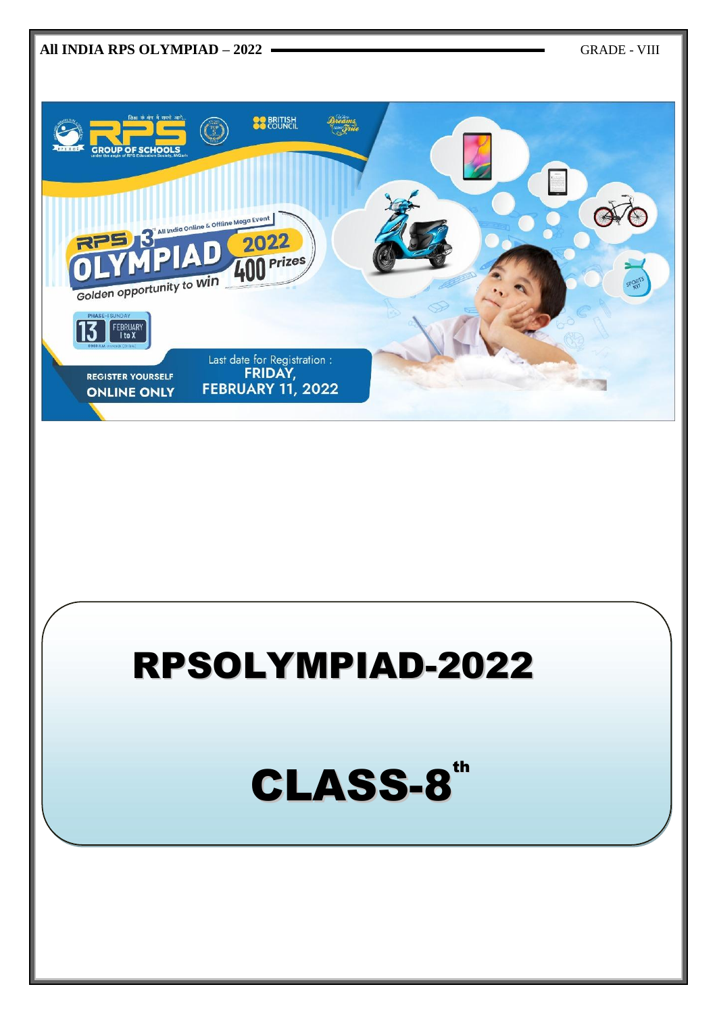

# RPSOLYMPIAD-2022

CLASS-8<sup>th</sup>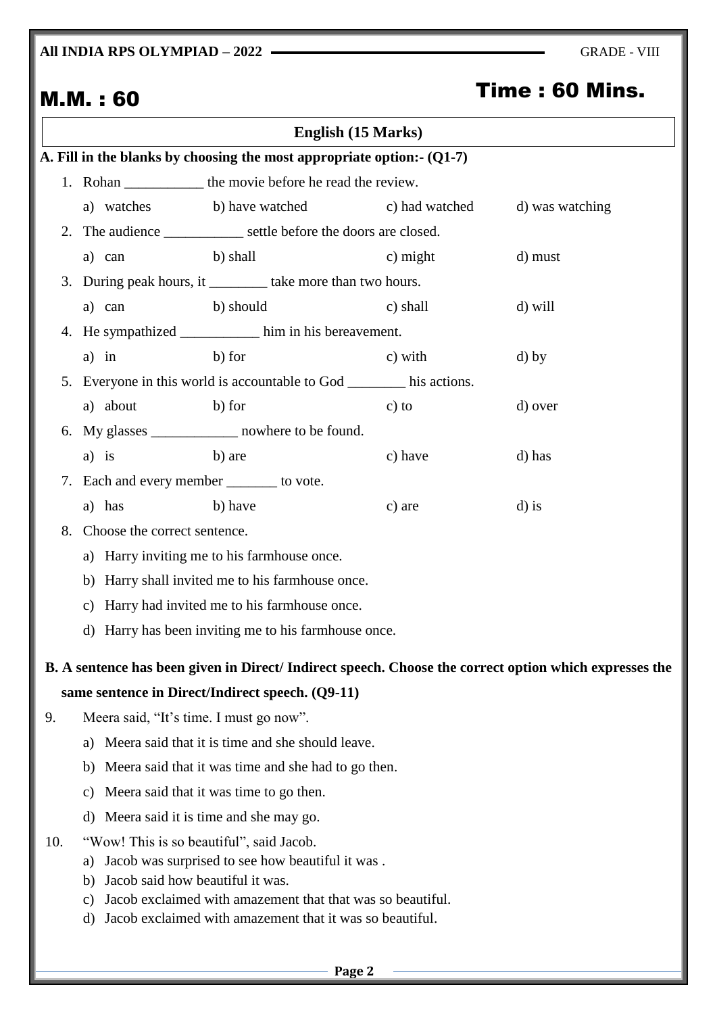## **All INDIA RPS OLYMPIAD – 2022 — GRADE - VIII**

| Time : 60 Mins.<br><b>M.M.: 60</b>          |                                                      |                                                                                                                                                                                                |                    |                                                                                                       |  |  |
|---------------------------------------------|------------------------------------------------------|------------------------------------------------------------------------------------------------------------------------------------------------------------------------------------------------|--------------------|-------------------------------------------------------------------------------------------------------|--|--|
|                                             |                                                      |                                                                                                                                                                                                | English (15 Marks) |                                                                                                       |  |  |
|                                             |                                                      | A. Fill in the blanks by choosing the most appropriate option:- $(Q1-7)$                                                                                                                       |                    |                                                                                                       |  |  |
|                                             |                                                      | 1. Rohan ______________ the movie before he read the review.                                                                                                                                   |                    |                                                                                                       |  |  |
|                                             | a) watches                                           | b) have watched                                                                                                                                                                                | c) had watched     | d) was watching                                                                                       |  |  |
| 2.                                          |                                                      | The audience ___________ settle before the doors are closed.                                                                                                                                   |                    |                                                                                                       |  |  |
|                                             | a) can                                               | b) shall                                                                                                                                                                                       | $c)$ might         | d) must                                                                                               |  |  |
|                                             |                                                      | 3. During peak hours, it __________ take more than two hours.                                                                                                                                  |                    |                                                                                                       |  |  |
|                                             | a) can                                               | b) should                                                                                                                                                                                      | c) shall           | d) will                                                                                               |  |  |
| 4.                                          |                                                      | He sympathized _____________ him in his bereavement.                                                                                                                                           |                    |                                                                                                       |  |  |
|                                             | $a)$ in                                              | b) for                                                                                                                                                                                         | c) with            | $d)$ by                                                                                               |  |  |
|                                             |                                                      | 5. Everyone in this world is accountable to God _______ his actions.                                                                                                                           |                    |                                                                                                       |  |  |
|                                             | a) about b) for                                      |                                                                                                                                                                                                | $c)$ to            | d) over                                                                                               |  |  |
|                                             |                                                      | 6. My glasses ______________ nowhere to be found.                                                                                                                                              |                    |                                                                                                       |  |  |
|                                             | $a)$ is                                              | b) are                                                                                                                                                                                         | c) have            | d) has                                                                                                |  |  |
| 7. Each and every member _______ to vote.   |                                                      |                                                                                                                                                                                                |                    |                                                                                                       |  |  |
|                                             | a) has                                               | b) have                                                                                                                                                                                        | c) are             | $d$ ) is                                                                                              |  |  |
| 8.                                          | Choose the correct sentence.                         |                                                                                                                                                                                                |                    |                                                                                                       |  |  |
| a) Harry inviting me to his farmhouse once. |                                                      |                                                                                                                                                                                                |                    |                                                                                                       |  |  |
|                                             | Harry shall invited me to his farmhouse once.<br>b)  |                                                                                                                                                                                                |                    |                                                                                                       |  |  |
|                                             | Harry had invited me to his farmhouse once.<br>c)    |                                                                                                                                                                                                |                    |                                                                                                       |  |  |
|                                             | d) Harry has been inviting me to his farmhouse once. |                                                                                                                                                                                                |                    |                                                                                                       |  |  |
|                                             |                                                      |                                                                                                                                                                                                |                    | B. A sentence has been given in Direct/Indirect speech. Choose the correct option which expresses the |  |  |
|                                             |                                                      | same sentence in Direct/Indirect speech. (Q9-11)                                                                                                                                               |                    |                                                                                                       |  |  |
| 9.                                          |                                                      | Meera said, "It's time. I must go now".                                                                                                                                                        |                    |                                                                                                       |  |  |
|                                             | a)                                                   | Meera said that it is time and she should leave.                                                                                                                                               |                    |                                                                                                       |  |  |
|                                             | b)                                                   | Meera said that it was time and she had to go then.                                                                                                                                            |                    |                                                                                                       |  |  |
|                                             | c)                                                   | Meera said that it was time to go then.                                                                                                                                                        |                    |                                                                                                       |  |  |
|                                             | d)                                                   | Meera said it is time and she may go.                                                                                                                                                          |                    |                                                                                                       |  |  |
| 10.                                         | a)<br>b)<br>C)                                       | "Wow! This is so beautiful", said Jacob.<br>Jacob was surprised to see how beautiful it was.<br>Jacob said how beautiful it was.<br>Jacob exclaimed with amazement that that was so beautiful. |                    |                                                                                                       |  |  |
|                                             | d)                                                   | Jacob exclaimed with amazement that it was so beautiful.                                                                                                                                       |                    |                                                                                                       |  |  |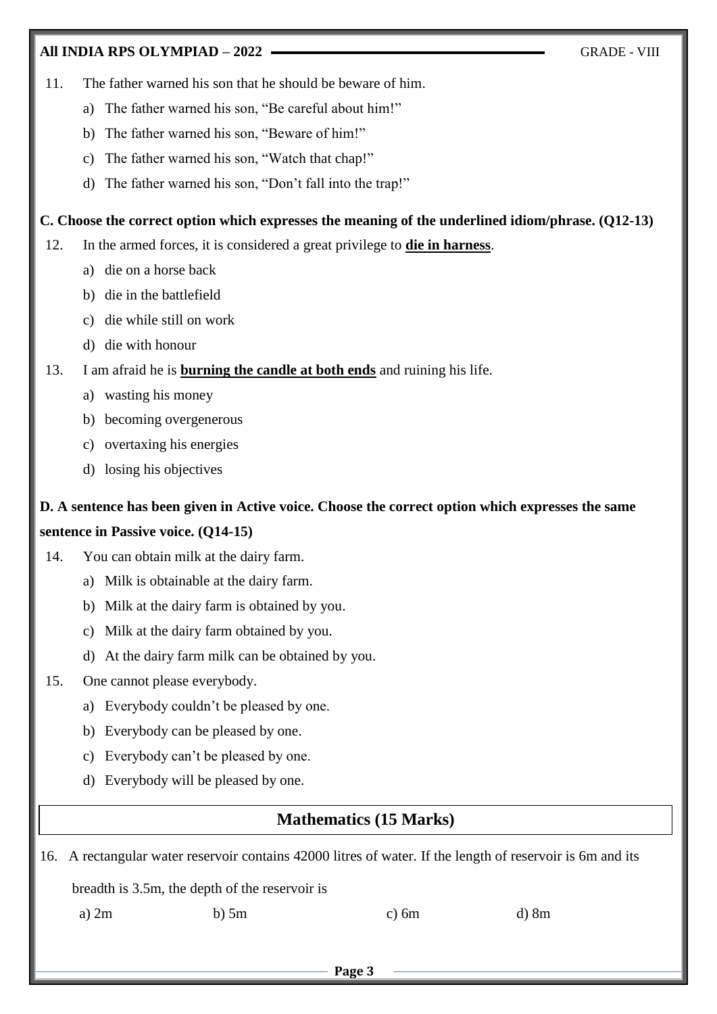#### **All INDIA RPS OLYMPIAD – 2022** GRADE - VIII

- 11. The father warned his son that he should be beware of him.
	- a) The father warned his son, "Be careful about him!"
	- b) The father warned his son, "Beware of him!"
	- c) The father warned his son, "Watch that chap!"
	- d) The father warned his son, "Don't fall into the trap!"

#### **C. Choose the correct option which expresses the meaning of the underlined idiom/phrase. (Q12-13)**

- 12. In the armed forces, it is considered a great privilege to **die in harness**.
	- a) die on a horse back
	- b) die in the battlefield
	- c) die while still on work
	- d) die with honour
- 13. I am afraid he is **burning the candle at both ends** and ruining his life.
	- a) wasting his money
	- b) becoming overgenerous
	- c) overtaxing his energies
	- d) losing his objectives

# **D. A sentence has been given in Active voice. Choose the correct option which expresses the same sentence in Passive voice. (Q14-15)**

- 14. You can obtain milk at the dairy farm.
	- a) Milk is obtainable at the dairy farm.
	- b) Milk at the dairy farm is obtained by you.
	- c) Milk at the dairy farm obtained by you.
	- d) At the dairy farm milk can be obtained by you.
- 15. One cannot please everybody.
	- a) Everybody couldn't be pleased by one.
	- b) Everybody can be pleased by one.
	- c) Everybody can't be pleased by one.
	- d) Everybody will be pleased by one.

## **Mathematics (15 Marks)**

16. A rectangular water reservoir contains 42000 litres of water. If the length of reservoir is 6m and its

breadth is 3.5m, the depth of the reservoir is

a) 2m b) 5m c) 6m d) 8m

**Page 3**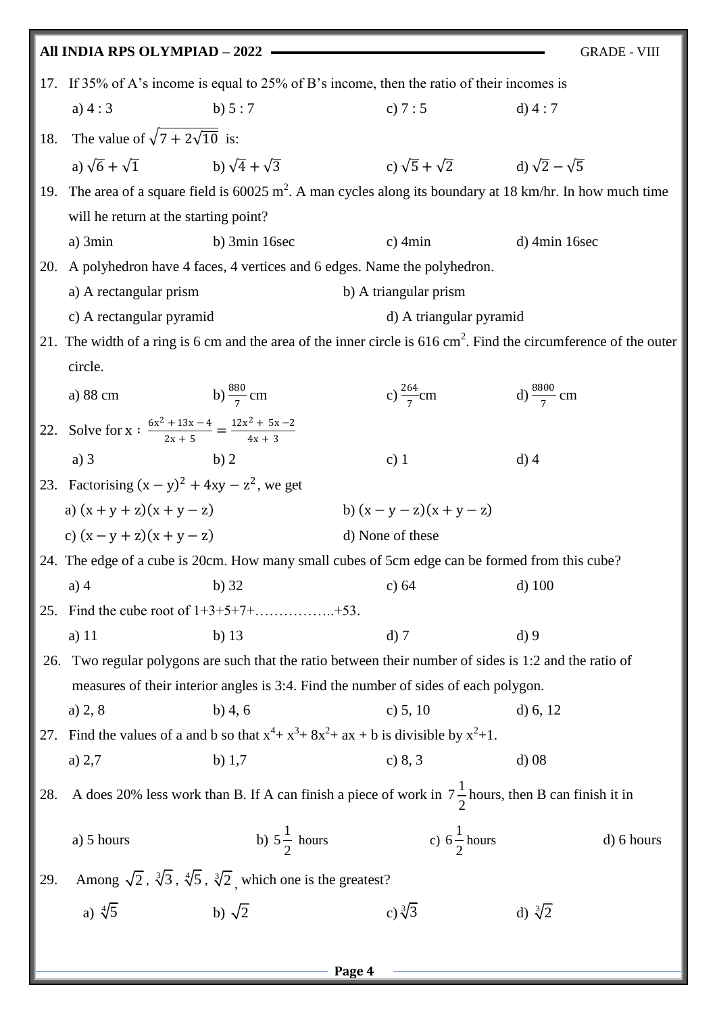|     | All INDIA RPS OLYMPIAD - 2022                                                              |                                                                                               |                                                                                                               | <b>GRADE - VIII</b>                                                                                                          |  |  |
|-----|--------------------------------------------------------------------------------------------|-----------------------------------------------------------------------------------------------|---------------------------------------------------------------------------------------------------------------|------------------------------------------------------------------------------------------------------------------------------|--|--|
|     | 17. If 35% of A's income is equal to 25% of B's income, then the ratio of their incomes is |                                                                                               |                                                                                                               |                                                                                                                              |  |  |
|     | a) $4:3$<br>b) $5:7$                                                                       |                                                                                               | c) $7:5$                                                                                                      | $d)$ 4 : 7                                                                                                                   |  |  |
|     | 18. The value of $\sqrt{7 + 2\sqrt{10}}$ is:                                               |                                                                                               |                                                                                                               |                                                                                                                              |  |  |
|     | a) $\sqrt{6} + \sqrt{1}$ b) $\sqrt{4} + \sqrt{3}$                                          |                                                                                               | c) $\sqrt{5} + \sqrt{2}$ d) $\sqrt{2} - \sqrt{5}$                                                             |                                                                                                                              |  |  |
|     |                                                                                            |                                                                                               |                                                                                                               | 19. The area of a square field is $60025 \text{ m}^2$ . A man cycles along its boundary at 18 km/hr. In how much time        |  |  |
|     | will be return at the starting point?                                                      |                                                                                               |                                                                                                               |                                                                                                                              |  |  |
|     | a) 3min                                                                                    | b) $3min$ 16sec                                                                               | $c)$ 4 $min$                                                                                                  | $d)$ 4min 16sec                                                                                                              |  |  |
| 20. | A polyhedron have 4 faces, 4 vertices and 6 edges. Name the polyhedron.                    |                                                                                               |                                                                                                               |                                                                                                                              |  |  |
|     | a) A rectangular prism                                                                     |                                                                                               | b) A triangular prism                                                                                         |                                                                                                                              |  |  |
|     | c) A rectangular pyramid                                                                   |                                                                                               | d) A triangular pyramid                                                                                       |                                                                                                                              |  |  |
|     |                                                                                            |                                                                                               |                                                                                                               | 21. The width of a ring is 6 cm and the area of the inner circle is $616 \text{ cm}^2$ . Find the circumference of the outer |  |  |
|     | circle.                                                                                    |                                                                                               |                                                                                                               |                                                                                                                              |  |  |
|     | a) 88 cm b) $\frac{880}{7}$ cm                                                             |                                                                                               | c) $\frac{264}{7}$ cm d) $\frac{8800}{7}$ cm                                                                  |                                                                                                                              |  |  |
|     | 22. Solve for x: $\frac{6x^2 + 13x - 4}{2x + 5} = \frac{12x^2 + 5x - 2}{4x + 3}$           |                                                                                               |                                                                                                               |                                                                                                                              |  |  |
|     | $a)$ 3                                                                                     | b)2                                                                                           | c) $1$                                                                                                        | $d)$ 4                                                                                                                       |  |  |
|     | 23. Factorising $(x - y)^2 + 4xy - z^2$ , we get                                           |                                                                                               |                                                                                                               |                                                                                                                              |  |  |
|     | a) $(x + y + z)(x + y - z)$                                                                |                                                                                               | b) $(x - y - z)(x + y - z)$                                                                                   |                                                                                                                              |  |  |
|     | c) $(x - y + z)(x + y - z)$                                                                |                                                                                               | d) None of these                                                                                              |                                                                                                                              |  |  |
|     |                                                                                            |                                                                                               |                                                                                                               | 24. The edge of a cube is 20cm. How many small cubes of 5cm edge can be formed from this cube?                               |  |  |
|     |                                                                                            |                                                                                               |                                                                                                               |                                                                                                                              |  |  |
|     | $a)$ 4                                                                                     | $b)$ 32                                                                                       | c) $64$                                                                                                       | $d)$ 100                                                                                                                     |  |  |
| 25. |                                                                                            |                                                                                               |                                                                                                               |                                                                                                                              |  |  |
|     | a) $11$                                                                                    | b) $13$                                                                                       | $d)$ 7                                                                                                        | $d$ ) 9                                                                                                                      |  |  |
| 26. |                                                                                            |                                                                                               | Two regular polygons are such that the ratio between their number of sides is 1:2 and the ratio of            |                                                                                                                              |  |  |
|     |                                                                                            |                                                                                               | measures of their interior angles is 3:4. Find the number of sides of each polygon.                           |                                                                                                                              |  |  |
|     | a) 2, 8                                                                                    | $b)$ 4, 6                                                                                     | c) $5, 10$                                                                                                    | d) $6, 12$                                                                                                                   |  |  |
| 27. |                                                                                            |                                                                                               | Find the values of a and b so that $x^4 + x^3 + 8x^2 + ax + b$ is divisible by $x^2 + 1$ .                    |                                                                                                                              |  |  |
|     | a) $2,7$                                                                                   | b) $1,7$                                                                                      | c) $8, 3$                                                                                                     | $d)$ 08                                                                                                                      |  |  |
| 28. |                                                                                            |                                                                                               | A does 20% less work than B. If A can finish a piece of work in $7\frac{1}{2}$ hours, then B can finish it in |                                                                                                                              |  |  |
|     | a) 5 hours                                                                                 | b) $5\frac{1}{2}$ hours                                                                       | c) $6\frac{1}{2}$ hours                                                                                       | d) 6 hours                                                                                                                   |  |  |
| 29. |                                                                                            | Among $\sqrt{2}$ , $\sqrt[3]{3}$ , $\sqrt[4]{5}$ , $\sqrt[3]{2}$ , which one is the greatest? |                                                                                                               |                                                                                                                              |  |  |
|     | a) $\sqrt[4]{5}$                                                                           | b) $\sqrt{2}$                                                                                 | c) $\sqrt[3]{3}$                                                                                              | d) $\sqrt[3]{2}$                                                                                                             |  |  |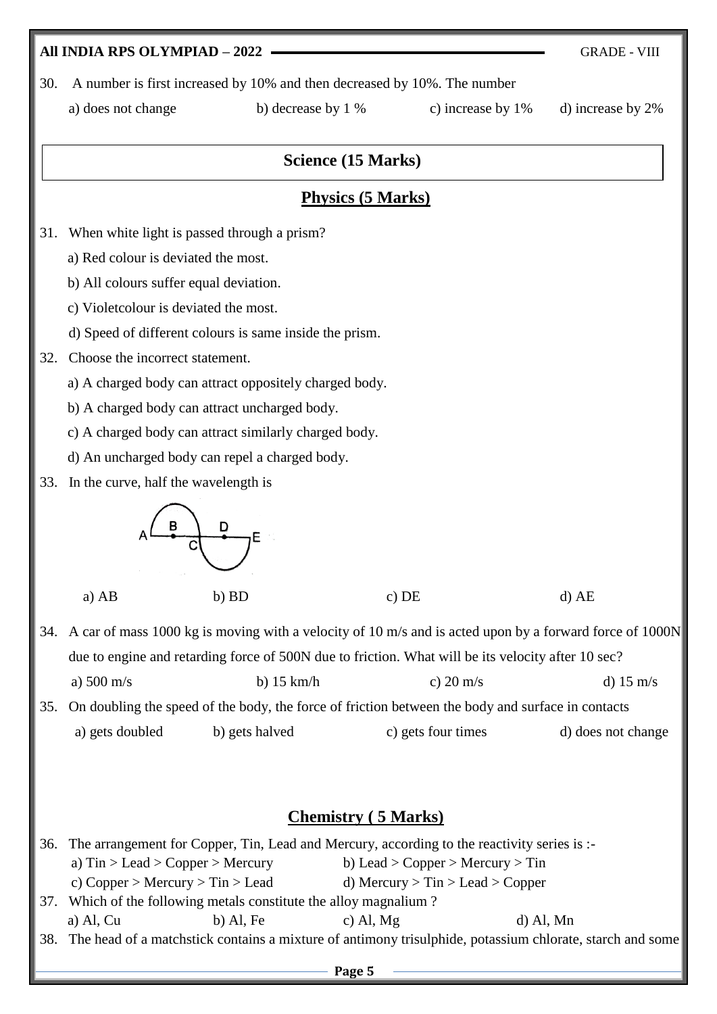#### **All INDIA RPS OLYMPIAD – 2022 — GRADE - VIII**

30. A number is first increased by 10% and then decreased by 10%. The number

a) does not change b) decrease by 1 % c) increase by 1% d) increase by 2%

#### **Science (15 Marks)**

## **Physics (5 Marks)**

- 31. When white light is passed through a prism?
	- a) Red colour is deviated the most.
	- b) All colours suffer equal deviation.
	- c) Violetcolour is deviated the most.
	- d) Speed of different colours is same inside the prism.
- 32. Choose the incorrect statement.
	- a) A charged body can attract oppositely charged body.
	- b) A charged body can attract uncharged body.
	- c) A charged body can attract similarly charged body.
	- d) An uncharged body can repel a charged body.
- 33. In the curve, half the wavelength is



a) AB b) BD c) DE d) AE

- 34. A car of mass 1000 kg is moving with a velocity of 10 m/s and is acted upon by a forward force of 1000N due to engine and retarding force of 500N due to friction. What will be its velocity after 10 sec? a)  $500 \text{ m/s}$  b)  $15 \text{ km/h}$  c)  $20 \text{ m/s}$  d)  $15 \text{ m/s}$ 35. On doubling the speed of the body, the force of friction between the body and surface in contacts
	- a) gets doubled b) gets halved c) gets four times d) does not change

## **Chemistry ( 5 Marks)**

| 36. The arrangement for Copper, Tin, Lead and Mercury, according to the reactivity series is :- |             |                                        |                                                                                                              |  |
|-------------------------------------------------------------------------------------------------|-------------|----------------------------------------|--------------------------------------------------------------------------------------------------------------|--|
| a) $\text{Sin} > \text{Leader} > \text{Copper} > \text{Mercury}$                                |             | b) Lead > Copper > Mercury > Tin       |                                                                                                              |  |
| c) Copper > Mercury > Tin > Lead                                                                |             | d) Mercury $>$ Tin $>$ Lead $>$ Copper |                                                                                                              |  |
| 37. Which of the following metals constitute the alloy magnalium?                               |             |                                        |                                                                                                              |  |
| a) Al, $Cu$                                                                                     | $b)$ Al, Fe | c) Al, $Mg$                            | $d)$ Al, Mn                                                                                                  |  |
|                                                                                                 |             |                                        | 38. The head of a matchstick contains a mixture of antimony trisulphide, potassium chlorate, starch and some |  |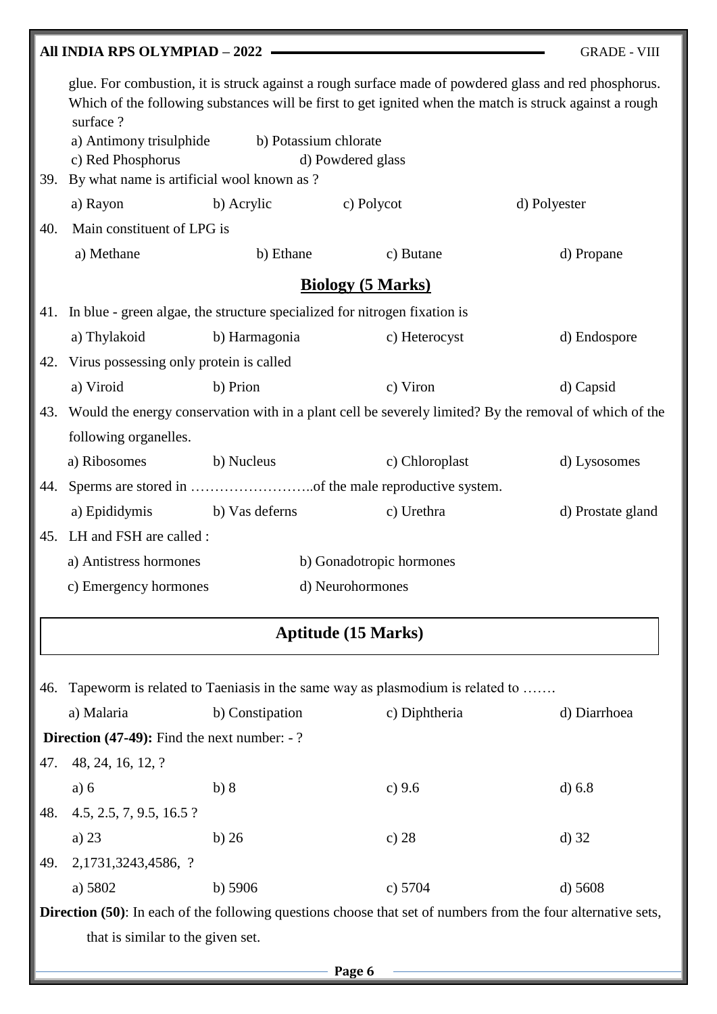|     | All INDIA RPS OLYMPIAD - 2022                                                                                        |                       |                                                                              | <b>GRADE - VIII</b>                                                                                                                                                                                              |  |
|-----|----------------------------------------------------------------------------------------------------------------------|-----------------------|------------------------------------------------------------------------------|------------------------------------------------------------------------------------------------------------------------------------------------------------------------------------------------------------------|--|
|     | surface?                                                                                                             |                       |                                                                              | glue. For combustion, it is struck against a rough surface made of powdered glass and red phosphorus.<br>Which of the following substances will be first to get ignited when the match is struck against a rough |  |
|     | a) Antimony trisulphide                                                                                              | b) Potassium chlorate |                                                                              |                                                                                                                                                                                                                  |  |
|     | c) Red Phosphorus<br>d) Powdered glass                                                                               |                       |                                                                              |                                                                                                                                                                                                                  |  |
|     | By what name is artificial wool known as ?<br>39.                                                                    |                       |                                                                              |                                                                                                                                                                                                                  |  |
|     | a) Rayon                                                                                                             | b) Acrylic            | c) Polycot                                                                   | d) Polyester                                                                                                                                                                                                     |  |
| 40. | Main constituent of LPG is                                                                                           |                       |                                                                              |                                                                                                                                                                                                                  |  |
|     | a) Methane                                                                                                           | b) Ethane             | c) Butane                                                                    | d) Propane                                                                                                                                                                                                       |  |
|     |                                                                                                                      |                       | <b>Biology (5 Marks)</b>                                                     |                                                                                                                                                                                                                  |  |
|     | 41. In blue - green algae, the structure specialized for nitrogen fixation is                                        |                       |                                                                              |                                                                                                                                                                                                                  |  |
|     | a) Thylakoid                                                                                                         | b) Harmagonia         | c) Heterocyst                                                                | d) Endospore                                                                                                                                                                                                     |  |
| 42. | Virus possessing only protein is called                                                                              |                       |                                                                              |                                                                                                                                                                                                                  |  |
|     | a) Viroid                                                                                                            | b) Prion              | c) Viron                                                                     | d) Capsid                                                                                                                                                                                                        |  |
| 43. |                                                                                                                      |                       |                                                                              | Would the energy conservation with in a plant cell be severely limited? By the removal of which of the                                                                                                           |  |
|     | following organelles.                                                                                                |                       |                                                                              |                                                                                                                                                                                                                  |  |
|     | a) Ribosomes                                                                                                         | b) Nucleus            | c) Chloroplast                                                               | d) Lysosomes                                                                                                                                                                                                     |  |
| 44. |                                                                                                                      |                       |                                                                              |                                                                                                                                                                                                                  |  |
|     | a) Epididymis b) Vas deferns                                                                                         |                       | c) Urethra                                                                   | d) Prostate gland                                                                                                                                                                                                |  |
| 45. | LH and FSH are called :                                                                                              |                       |                                                                              |                                                                                                                                                                                                                  |  |
|     | a) Antistress hormones                                                                                               |                       | b) Gonadotropic hormones                                                     |                                                                                                                                                                                                                  |  |
|     | c) Emergency hormones<br>d) Neurohormones                                                                            |                       |                                                                              |                                                                                                                                                                                                                  |  |
|     |                                                                                                                      |                       |                                                                              |                                                                                                                                                                                                                  |  |
|     |                                                                                                                      |                       | <b>Aptitude (15 Marks)</b>                                                   |                                                                                                                                                                                                                  |  |
|     |                                                                                                                      |                       |                                                                              |                                                                                                                                                                                                                  |  |
| 46. |                                                                                                                      |                       | Tapeworm is related to Taeniasis in the same way as plasmodium is related to |                                                                                                                                                                                                                  |  |
|     | a) Malaria                                                                                                           | b) Constipation       | c) Diphtheria                                                                | d) Diarrhoea                                                                                                                                                                                                     |  |
|     | <b>Direction (47-49):</b> Find the next number: $-$ ?                                                                |                       |                                                                              |                                                                                                                                                                                                                  |  |
| 47. | 48, 24, 16, 12, ?                                                                                                    |                       |                                                                              |                                                                                                                                                                                                                  |  |
|     | a) 6                                                                                                                 | b) 8                  | c) 9.6                                                                       | d) 6.8                                                                                                                                                                                                           |  |
| 48. | 4.5, 2.5, 7, 9.5, 16.5?                                                                                              |                       |                                                                              |                                                                                                                                                                                                                  |  |
|     | a) $23$                                                                                                              | b)26                  | c) $28$                                                                      | $d)$ 32                                                                                                                                                                                                          |  |
| 49. | 2,1731,3243,4586, ?                                                                                                  |                       |                                                                              |                                                                                                                                                                                                                  |  |
|     | a) 5802                                                                                                              | b) $5906$             | c) $5704$                                                                    | $d)$ 5608                                                                                                                                                                                                        |  |
|     | <b>Direction</b> (50): In each of the following questions choose that set of numbers from the four alternative sets, |                       |                                                                              |                                                                                                                                                                                                                  |  |

that is similar to the given set.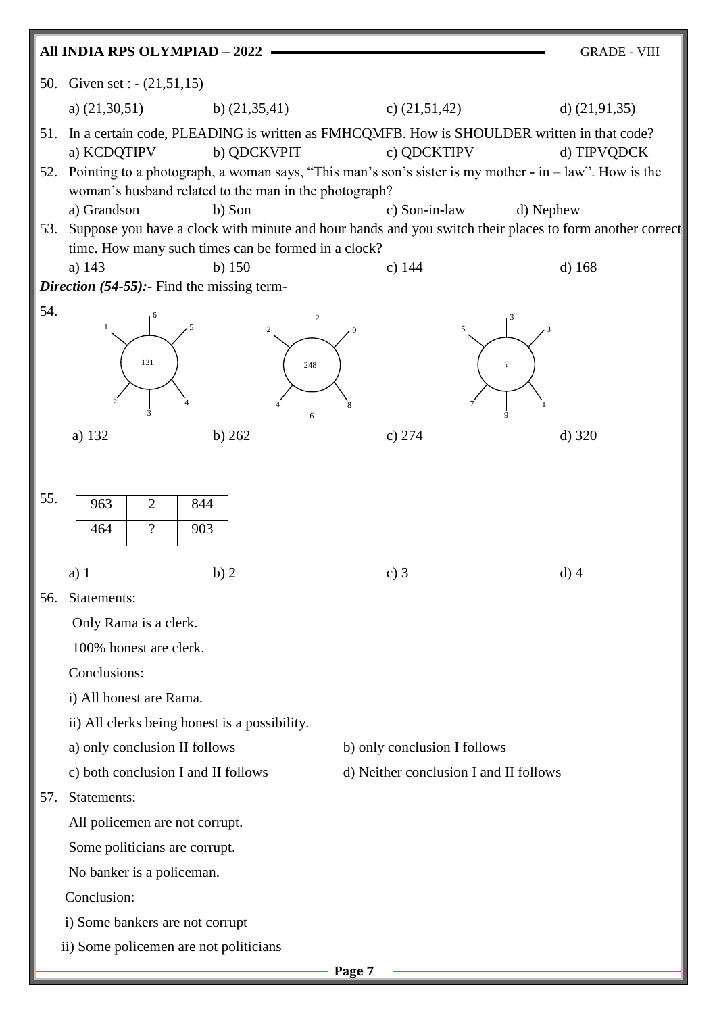|     | All INDIA RPS OLYMPIAD - 2022                                                                                                                                                             |                                        | <b>GRADE - VIII</b>      |  |  |  |
|-----|-------------------------------------------------------------------------------------------------------------------------------------------------------------------------------------------|----------------------------------------|--------------------------|--|--|--|
|     | 50. Given set : - (21,51,15)                                                                                                                                                              |                                        |                          |  |  |  |
|     | a) $(21,30,51)$<br>b) $(21,35,41)$                                                                                                                                                        | c) $(21,51,42)$                        | d) $(21,91,35)$          |  |  |  |
|     | 51. In a certain code, PLEADING is written as FMHCQMFB. How is SHOULDER written in that code?<br>a) KCDQTIPV<br>b) QDCKVPIT                                                               | c) QDCKTIPV                            | d) TIPVQDCK              |  |  |  |
| 52. | Pointing to a photograph, a woman says, "This man's son's sister is my mother - in $-$ law". How is the<br>woman's husband related to the man in the photograph?<br>a) Grandson<br>b) Son | c) Son-in-law                          | d) Nephew                |  |  |  |
| 53. | Suppose you have a clock with minute and hour hands and you switch their places to form another correct<br>time. How many such times can be formed in a clock?                            |                                        |                          |  |  |  |
|     | a) 143<br>b) $150$                                                                                                                                                                        | $c)$ 144                               | $d)$ 168                 |  |  |  |
|     | <i>Direction</i> $(54-55)$ : Find the missing term-                                                                                                                                       |                                        |                          |  |  |  |
| 54. | 1<br>$\overline{c}$<br>131<br>248                                                                                                                                                         | 5<br>8                                 | $\overline{\mathcal{L}}$ |  |  |  |
|     | a) 132<br>b) $262$                                                                                                                                                                        | c) 274                                 | d) 320                   |  |  |  |
|     |                                                                                                                                                                                           |                                        |                          |  |  |  |
| 55. | 963<br>$\overline{2}$<br>844<br>$\overline{?}$<br>464<br>903                                                                                                                              |                                        |                          |  |  |  |
|     | b)2<br>$a)$ 1                                                                                                                                                                             | c) $3$                                 | $d)$ 4                   |  |  |  |
| 56. | Statements:                                                                                                                                                                               |                                        |                          |  |  |  |
|     | Only Rama is a clerk.                                                                                                                                                                     |                                        |                          |  |  |  |
|     | 100% honest are clerk.                                                                                                                                                                    |                                        |                          |  |  |  |
|     | Conclusions:                                                                                                                                                                              |                                        |                          |  |  |  |
|     | i) All honest are Rama.                                                                                                                                                                   |                                        |                          |  |  |  |
|     | ii) All clerks being honest is a possibility.                                                                                                                                             |                                        |                          |  |  |  |
|     | a) only conclusion II follows                                                                                                                                                             | b) only conclusion I follows           |                          |  |  |  |
|     | c) both conclusion I and II follows                                                                                                                                                       | d) Neither conclusion I and II follows |                          |  |  |  |
| 57. | Statements:                                                                                                                                                                               |                                        |                          |  |  |  |
|     | All policemen are not corrupt.                                                                                                                                                            |                                        |                          |  |  |  |
|     | Some politicians are corrupt.                                                                                                                                                             |                                        |                          |  |  |  |
|     | No banker is a policeman.                                                                                                                                                                 |                                        |                          |  |  |  |
|     | Conclusion:                                                                                                                                                                               |                                        |                          |  |  |  |
|     | i) Some bankers are not corrupt                                                                                                                                                           |                                        |                          |  |  |  |
|     | ii) Some policemen are not politicians                                                                                                                                                    |                                        |                          |  |  |  |
|     |                                                                                                                                                                                           | Page 7                                 |                          |  |  |  |